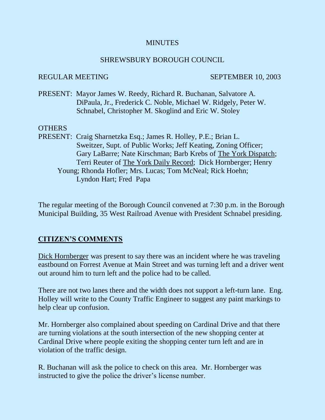## **MINUTES**

#### SHREWSBURY BOROUGH COUNCIL

#### REGULAR MEETING SEPTEMBER 10, 2003

PRESENT: Mayor James W. Reedy, Richard R. Buchanan, Salvatore A. DiPaula, Jr., Frederick C. Noble, Michael W. Ridgely, Peter W. Schnabel, Christopher M. Skoglind and Eric W. Stoley

#### OTHERS

PRESENT: Craig Sharnetzka Esq.; James R. Holley, P.E.; Brian L. Sweitzer, Supt. of Public Works; Jeff Keating, Zoning Officer; Gary LaBarre; Nate Kirschman; Barb Krebs of The York Dispatch; Terri Reuter of The York Daily Record; Dick Hornberger; Henry Young; Rhonda Hofler; Mrs. Lucas; Tom McNeal; Rick Hoehn; Lyndon Hart; Fred Papa

The regular meeting of the Borough Council convened at 7:30 p.m. in the Borough Municipal Building, 35 West Railroad Avenue with President Schnabel presiding.

# **CITIZEN'S COMMENTS**

Dick Hornberger was present to say there was an incident where he was traveling eastbound on Forrest Avenue at Main Street and was turning left and a driver went out around him to turn left and the police had to be called.

There are not two lanes there and the width does not support a left-turn lane. Eng. Holley will write to the County Traffic Engineer to suggest any paint markings to help clear up confusion.

Mr. Hornberger also complained about speeding on Cardinal Drive and that there are turning violations at the south intersection of the new shopping center at Cardinal Drive where people exiting the shopping center turn left and are in violation of the traffic design.

R. Buchanan will ask the police to check on this area. Mr. Hornberger was instructed to give the police the driver's license number.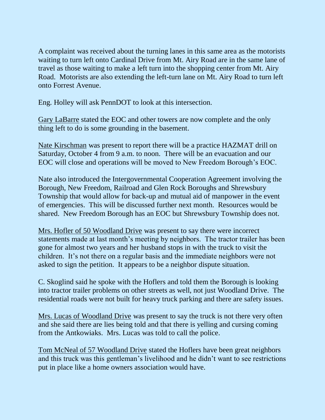A complaint was received about the turning lanes in this same area as the motorists waiting to turn left onto Cardinal Drive from Mt. Airy Road are in the same lane of travel as those waiting to make a left turn into the shopping center from Mt. Airy Road. Motorists are also extending the left-turn lane on Mt. Airy Road to turn left onto Forrest Avenue.

Eng. Holley will ask PennDOT to look at this intersection.

Gary LaBarre stated the EOC and other towers are now complete and the only thing left to do is some grounding in the basement.

Nate Kirschman was present to report there will be a practice HAZMAT drill on Saturday, October 4 from 9 a.m. to noon. There will be an evacuation and our EOC will close and operations will be moved to New Freedom Borough's EOC.

Nate also introduced the Intergovernmental Cooperation Agreement involving the Borough, New Freedom, Railroad and Glen Rock Boroughs and Shrewsbury Township that would allow for back-up and mutual aid of manpower in the event of emergencies. This will be discussed further next month. Resources would be shared. New Freedom Borough has an EOC but Shrewsbury Township does not.

Mrs. Hofler of 50 Woodland Drive was present to say there were incorrect statements made at last month's meeting by neighbors. The tractor trailer has been gone for almost two years and her husband stops in with the truck to visit the children. It's not there on a regular basis and the immediate neighbors were not asked to sign the petition. It appears to be a neighbor dispute situation.

C. Skoglind said he spoke with the Hoflers and told them the Borough is looking into tractor trailer problems on other streets as well, not just Woodland Drive. The residential roads were not built for heavy truck parking and there are safety issues.

Mrs. Lucas of Woodland Drive was present to say the truck is not there very often and she said there are lies being told and that there is yelling and cursing coming from the Antkowiaks. Mrs. Lucas was told to call the police.

Tom McNeal of 57 Woodland Drive stated the Hoflers have been great neighbors and this truck was this gentleman's livelihood and he didn't want to see restrictions put in place like a home owners association would have.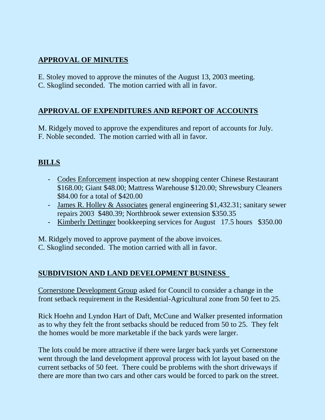# **APPROVAL OF MINUTES**

- E. Stoley moved to approve the minutes of the August 13, 2003 meeting.
- C. Skoglind seconded. The motion carried with all in favor.

# **APPROVAL OF EXPENDITURES AND REPORT OF ACCOUNTS**

M. Ridgely moved to approve the expenditures and report of accounts for July. F. Noble seconded. The motion carried with all in favor.

# **BILLS**

- Codes Enforcement inspection at new shopping center Chinese Restaurant \$168.00; Giant \$48.00; Mattress Warehouse \$120.00; Shrewsbury Cleaners \$84.00 for a total of \$420.00
- James R. Holley & Associates general engineering \$1,432.31; sanitary sewer repairs 2003 \$480.39; Northbrook sewer extension \$350.35
- Kimberly Dettinger bookkeeping services for August 17.5 hours \$350.00

M. Ridgely moved to approve payment of the above invoices.

C. Skoglind seconded. The motion carried with all in favor.

# **SUBDIVISION AND LAND DEVELOPMENT BUSINESS**

Cornerstone Development Group asked for Council to consider a change in the front setback requirement in the Residential-Agricultural zone from 50 feet to 25.

Rick Hoehn and Lyndon Hart of Daft, McCune and Walker presented information as to why they felt the front setbacks should be reduced from 50 to 25. They felt the homes would be more marketable if the back yards were larger.

The lots could be more attractive if there were larger back yards yet Cornerstone went through the land development approval process with lot layout based on the current setbacks of 50 feet. There could be problems with the short driveways if there are more than two cars and other cars would be forced to park on the street.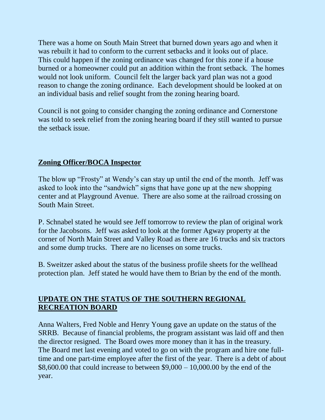There was a home on South Main Street that burned down years ago and when it was rebuilt it had to conform to the current setbacks and it looks out of place. This could happen if the zoning ordinance was changed for this zone if a house burned or a homeowner could put an addition within the front setback. The homes would not look uniform. Council felt the larger back yard plan was not a good reason to change the zoning ordinance. Each development should be looked at on an individual basis and relief sought from the zoning hearing board.

Council is not going to consider changing the zoning ordinance and Cornerstone was told to seek relief from the zoning hearing board if they still wanted to pursue the setback issue.

# **Zoning Officer/BOCA Inspector**

The blow up "Frosty" at Wendy's can stay up until the end of the month. Jeff was asked to look into the "sandwich" signs that have gone up at the new shopping center and at Playground Avenue. There are also some at the railroad crossing on South Main Street.

P. Schnabel stated he would see Jeff tomorrow to review the plan of original work for the Jacobsons. Jeff was asked to look at the former Agway property at the corner of North Main Street and Valley Road as there are 16 trucks and six tractors and some dump trucks. There are no licenses on some trucks.

B. Sweitzer asked about the status of the business profile sheets for the wellhead protection plan. Jeff stated he would have them to Brian by the end of the month.

# **UPDATE ON THE STATUS OF THE SOUTHERN REGIONAL RECREATION BOARD**

Anna Walters, Fred Noble and Henry Young gave an update on the status of the SRRB. Because of financial problems, the program assistant was laid off and then the director resigned. The Board owes more money than it has in the treasury. The Board met last evening and voted to go on with the program and hire one fulltime and one part-time employee after the first of the year. There is a debt of about \$8,600.00 that could increase to between \$9,000 – 10,000.00 by the end of the year.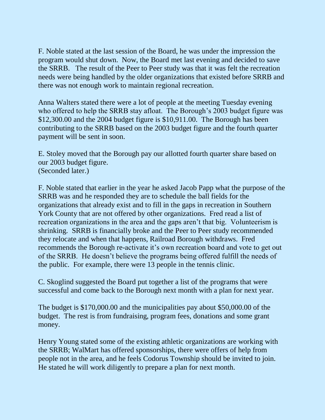F. Noble stated at the last session of the Board, he was under the impression the program would shut down. Now, the Board met last evening and decided to save the SRRB. The result of the Peer to Peer study was that it was felt the recreation needs were being handled by the older organizations that existed before SRRB and there was not enough work to maintain regional recreation.

Anna Walters stated there were a lot of people at the meeting Tuesday evening who offered to help the SRRB stay afloat. The Borough's 2003 budget figure was \$12,300.00 and the 2004 budget figure is \$10,911.00. The Borough has been contributing to the SRRB based on the 2003 budget figure and the fourth quarter payment will be sent in soon.

E. Stoley moved that the Borough pay our allotted fourth quarter share based on our 2003 budget figure. (Seconded later.)

F. Noble stated that earlier in the year he asked Jacob Papp what the purpose of the SRRB was and he responded they are to schedule the ball fields for the organizations that already exist and to fill in the gaps in recreation in Southern York County that are not offered by other organizations. Fred read a list of recreation organizations in the area and the gaps aren't that big. Volunteerism is shrinking. SRRB is financially broke and the Peer to Peer study recommended they relocate and when that happens, Railroad Borough withdraws. Fred recommends the Borough re-activate it's own recreation board and vote to get out of the SRRB. He doesn't believe the programs being offered fulfill the needs of the public. For example, there were 13 people in the tennis clinic.

C. Skoglind suggested the Board put together a list of the programs that were successful and come back to the Borough next month with a plan for next year.

The budget is \$170,000.00 and the municipalities pay about \$50,000.00 of the budget. The rest is from fundraising, program fees, donations and some grant money.

Henry Young stated some of the existing athletic organizations are working with the SRRB; WalMart has offered sponsorships, there were offers of help from people not in the area, and he feels Codorus Township should be invited to join. He stated he will work diligently to prepare a plan for next month.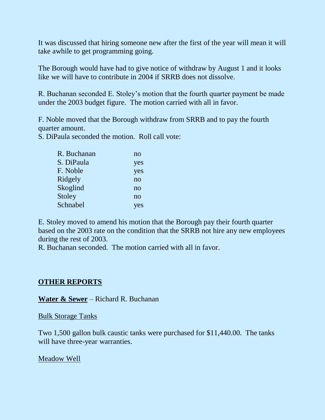It was discussed that hiring someone new after the first of the year will mean it will take awhile to get programming going.

The Borough would have had to give notice of withdraw by August 1 and it looks like we will have to contribute in 2004 if SRRB does not dissolve.

R. Buchanan seconded E. Stoley's motion that the fourth quarter payment be made under the 2003 budget figure. The motion carried with all in favor.

F. Noble moved that the Borough withdraw from SRRB and to pay the fourth quarter amount.

S. DiPaula seconded the motion. Roll call vote:

| R. Buchanan | no  |
|-------------|-----|
| S. DiPaula  | yes |
| F. Noble    | yes |
| Ridgely     | no  |
| Skoglind    | no  |
| Stoley      | no  |
| Schnabel    | yes |

E. Stoley moved to amend his motion that the Borough pay their fourth quarter based on the 2003 rate on the condition that the SRRB not hire any new employees during the rest of 2003.

R. Buchanan seconded. The motion carried with all in favor.

## **OTHER REPORTS**

**Water & Sewer** – Richard R. Buchanan

Bulk Storage Tanks

Two 1,500 gallon bulk caustic tanks were purchased for \$11,440.00. The tanks will have three-year warranties.

Meadow Well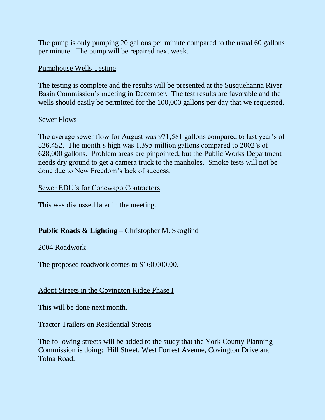The pump is only pumping 20 gallons per minute compared to the usual 60 gallons per minute. The pump will be repaired next week.

## Pumphouse Wells Testing

The testing is complete and the results will be presented at the Susquehanna River Basin Commission's meeting in December. The test results are favorable and the wells should easily be permitted for the 100,000 gallons per day that we requested.

## Sewer Flows

The average sewer flow for August was 971,581 gallons compared to last year's of 526,452. The month's high was 1.395 million gallons compared to 2002's of 628,000 gallons. Problem areas are pinpointed, but the Public Works Department needs dry ground to get a camera truck to the manholes. Smoke tests will not be done due to New Freedom's lack of success.

Sewer EDU's for Conewago Contractors

This was discussed later in the meeting.

# **Public Roads & Lighting** – Christopher M. Skoglind

#### 2004 Roadwork

The proposed roadwork comes to \$160,000.00.

#### Adopt Streets in the Covington Ridge Phase I

This will be done next month.

#### Tractor Trailers on Residential Streets

The following streets will be added to the study that the York County Planning Commission is doing: Hill Street, West Forrest Avenue, Covington Drive and Tolna Road.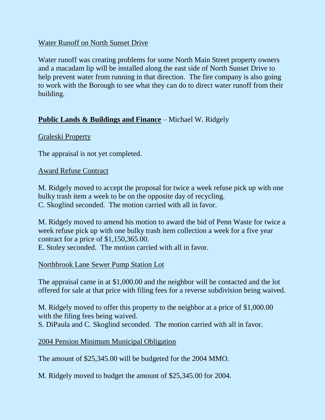## Water Runoff on North Sunset Drive

Water runoff was creating problems for some North Main Street property owners and a macadam lip will be installed along the east side of North Sunset Drive to help prevent water from running in that direction. The fire company is also going to work with the Borough to see what they can do to direct water runoff from their building.

## **Public Lands & Buildings and Finance** – Michael W. Ridgely

## Graleski Property

The appraisal is not yet completed.

## Award Refuse Contract

M. Ridgely moved to accept the proposal for twice a week refuse pick up with one bulky trash item a week to be on the opposite day of recycling. C. Skoglind seconded. The motion carried with all in favor.

M. Ridgely moved to amend his motion to award the bid of Penn Waste for twice a week refuse pick up with one bulky trash item collection a week for a five year contract for a price of \$1,150,365.00.

E. Stoley seconded. The motion carried with all in favor.

## Northbrook Lane Sewer Pump Station Lot

The appraisal came in at \$1,000.00 and the neighbor will be contacted and the lot offered for sale at that price with filing fees for a reverse subdivision being waived.

M. Ridgely moved to offer this property to the neighbor at a price of \$1,000.00 with the filing fees being waived. S. DiPaula and C. Skoglind seconded. The motion carried with all in favor.

## 2004 Pension Minimum Municipal Obligation

The amount of \$25,345.00 will be budgeted for the 2004 MMO.

M. Ridgely moved to budget the amount of \$25,345.00 for 2004.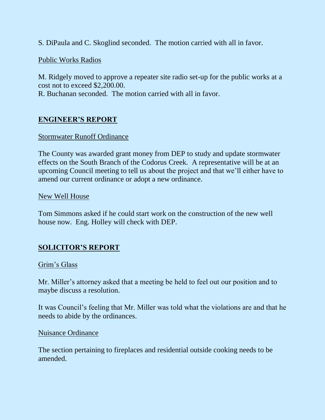S. DiPaula and C. Skoglind seconded. The motion carried with all in favor.

## Public Works Radios

M. Ridgely moved to approve a repeater site radio set-up for the public works at a cost not to exceed \$2,200.00.

R. Buchanan seconded. The motion carried with all in favor.

# **ENGINEER'S REPORT**

#### Stormwater Runoff Ordinance

The County was awarded grant money from DEP to study and update stormwater effects on the South Branch of the Codorus Creek. A representative will be at an upcoming Council meeting to tell us about the project and that we'll either have to amend our current ordinance or adopt a new ordinance.

#### New Well House

Tom Simmons asked if he could start work on the construction of the new well house now. Eng. Holley will check with DEP.

# **SOLICITOR'S REPORT**

## Grim's Glass

Mr. Miller's attorney asked that a meeting be held to feel out our position and to maybe discuss a resolution.

It was Council's feeling that Mr. Miller was told what the violations are and that he needs to abide by the ordinances.

#### Nuisance Ordinance

The section pertaining to fireplaces and residential outside cooking needs to be amended.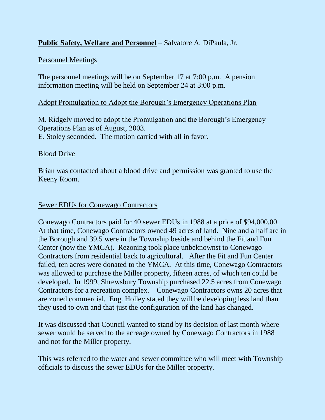## **Public Safety, Welfare and Personnel** – Salvatore A. DiPaula, Jr.

## Personnel Meetings

The personnel meetings will be on September 17 at 7:00 p.m. A pension information meeting will be held on September 24 at 3:00 p.m.

#### Adopt Promulgation to Adopt the Borough's Emergency Operations Plan

M. Ridgely moved to adopt the Promulgation and the Borough's Emergency Operations Plan as of August, 2003. E. Stoley seconded. The motion carried with all in favor.

#### Blood Drive

Brian was contacted about a blood drive and permission was granted to use the Keeny Room.

#### Sewer EDUs for Conewago Contractors

Conewago Contractors paid for 40 sewer EDUs in 1988 at a price of \$94,000.00. At that time, Conewago Contractors owned 49 acres of land. Nine and a half are in the Borough and 39.5 were in the Township beside and behind the Fit and Fun Center (now the YMCA). Rezoning took place unbeknownst to Conewago Contractors from residential back to agricultural. After the Fit and Fun Center failed, ten acres were donated to the YMCA. At this time, Conewago Contractors was allowed to purchase the Miller property, fifteen acres, of which ten could be developed. In 1999, Shrewsbury Township purchased 22.5 acres from Conewago Contractors for a recreation complex. Conewago Contractors owns 20 acres that are zoned commercial. Eng. Holley stated they will be developing less land than they used to own and that just the configuration of the land has changed.

It was discussed that Council wanted to stand by its decision of last month where sewer would be served to the acreage owned by Conewago Contractors in 1988 and not for the Miller property.

This was referred to the water and sewer committee who will meet with Township officials to discuss the sewer EDUs for the Miller property.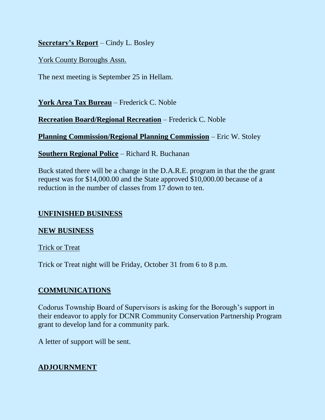## **Secretary's Report** – Cindy L. Bosley

## York County Boroughs Assn.

The next meeting is September 25 in Hellam.

**York Area Tax Bureau** – Frederick C. Noble

**Recreation Board/Regional Recreation** – Frederick C. Noble

**Planning Commission/Regional Planning Commission** – Eric W. Stoley

**Southern Regional Police** – Richard R. Buchanan

Buck stated there will be a change in the D.A.R.E. program in that the the grant request was for \$14,000.00 and the State approved \$10,000.00 because of a reduction in the number of classes from 17 down to ten.

## **UNFINISHED BUSINESS**

## **NEW BUSINESS**

Trick or Treat

Trick or Treat night will be Friday, October 31 from 6 to 8 p.m.

## **COMMUNICATIONS**

Codorus Township Board of Supervisors is asking for the Borough's support in their endeavor to apply for DCNR Community Conservation Partnership Program grant to develop land for a community park.

A letter of support will be sent.

# **ADJOURNMENT**